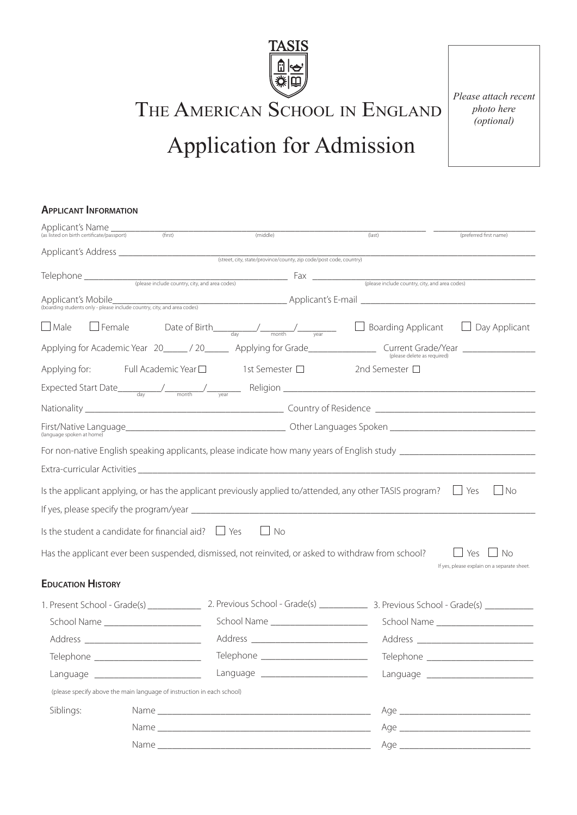

THE AMERICAN SCHOOL IN ENGLAND

# Application for Admission

*Please attach recent photo here (optional)*

# **Applicant Information**

| Applicant's Name _<br>(as listed on birth certificate/passport) | (first)                                                                                                  | (middle)                                                                              |  | (last)                                                                                                                                                                   | (preferred first name)                                   |
|-----------------------------------------------------------------|----------------------------------------------------------------------------------------------------------|---------------------------------------------------------------------------------------|--|--------------------------------------------------------------------------------------------------------------------------------------------------------------------------|----------------------------------------------------------|
|                                                                 |                                                                                                          |                                                                                       |  |                                                                                                                                                                          |                                                          |
|                                                                 |                                                                                                          |                                                                                       |  |                                                                                                                                                                          |                                                          |
|                                                                 |                                                                                                          |                                                                                       |  |                                                                                                                                                                          |                                                          |
|                                                                 |                                                                                                          |                                                                                       |  | Applicant's Mobile<br>(boarding students only - please include country, city, and area codes)<br>(boarding students only - please include country, city, and area codes) |                                                          |
| $\Box$ Male                                                     | $\Box$ Female                                                                                            | Date of Birth $\frac{1}{\text{day}}$ $\frac{1}{\text{month}}$ $\frac{1}{\text{year}}$ |  | Boarding Applicant                                                                                                                                                       | $\Box$ Day Applicant                                     |
|                                                                 |                                                                                                          |                                                                                       |  |                                                                                                                                                                          |                                                          |
|                                                                 | Applying for: Full Academic Year $\square$ 1st Semester $\square$                                        |                                                                                       |  | 2nd Semester $\Box$                                                                                                                                                      |                                                          |
|                                                                 |                                                                                                          |                                                                                       |  |                                                                                                                                                                          |                                                          |
|                                                                 |                                                                                                          |                                                                                       |  |                                                                                                                                                                          |                                                          |
| (language spoken at home)                                       |                                                                                                          |                                                                                       |  |                                                                                                                                                                          |                                                          |
|                                                                 |                                                                                                          |                                                                                       |  | For non-native English speaking applicants, please indicate how many years of English study ___________________                                                          |                                                          |
|                                                                 |                                                                                                          |                                                                                       |  |                                                                                                                                                                          |                                                          |
|                                                                 | Is the applicant applying, or has the applicant previously applied to/attended, any other TASIS program? |                                                                                       |  |                                                                                                                                                                          | $\Box$ Yes<br>$\Box$ No                                  |
|                                                                 |                                                                                                          |                                                                                       |  |                                                                                                                                                                          |                                                          |
|                                                                 | Is the student a candidate for financial aid? $\Box$ Yes                                                 | $\Box$ No                                                                             |  |                                                                                                                                                                          |                                                          |
|                                                                 | Has the applicant ever been suspended, dismissed, not reinvited, or asked to withdraw from school?       |                                                                                       |  |                                                                                                                                                                          | No<br>Yes<br>If yes, please explain on a separate sheet. |
| <b>EDUCATION HISTORY</b>                                        |                                                                                                          |                                                                                       |  |                                                                                                                                                                          |                                                          |
|                                                                 |                                                                                                          |                                                                                       |  |                                                                                                                                                                          |                                                          |
|                                                                 | School Name _______________________                                                                      | School Name _______________________                                                   |  |                                                                                                                                                                          |                                                          |
|                                                                 |                                                                                                          |                                                                                       |  |                                                                                                                                                                          |                                                          |
| Telephone _                                                     |                                                                                                          | Telephone _                                                                           |  | Telephone ___________                                                                                                                                                    |                                                          |
|                                                                 | Language ___________________________                                                                     | Language ___________________________                                                  |  |                                                                                                                                                                          |                                                          |
|                                                                 | (please specify above the main language of instruction in each school)                                   |                                                                                       |  |                                                                                                                                                                          |                                                          |
| Siblings:                                                       |                                                                                                          |                                                                                       |  |                                                                                                                                                                          |                                                          |
|                                                                 |                                                                                                          |                                                                                       |  |                                                                                                                                                                          |                                                          |
|                                                                 |                                                                                                          |                                                                                       |  |                                                                                                                                                                          |                                                          |
|                                                                 |                                                                                                          |                                                                                       |  |                                                                                                                                                                          |                                                          |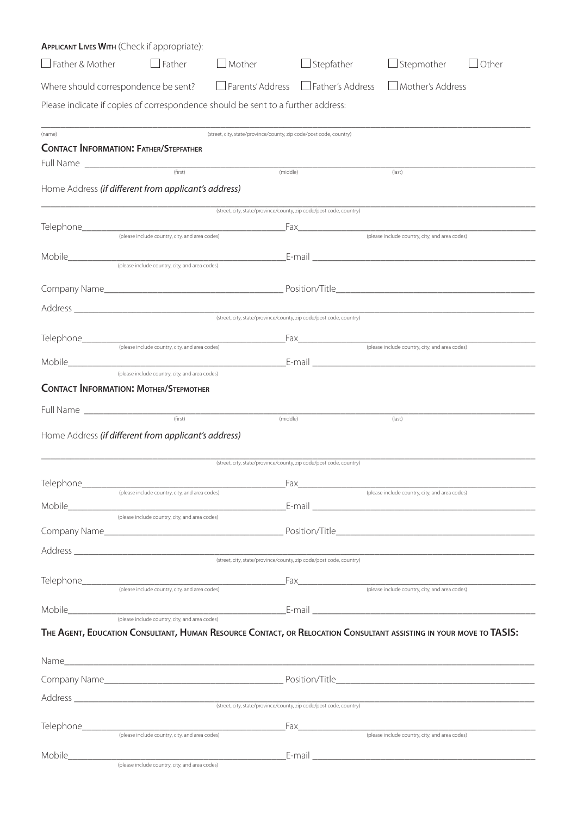|                        | <b>APPLICANT LIVES WITH (Check if appropriate):</b>                              |                                                                    |                                                                                                                    |                                                |       |
|------------------------|----------------------------------------------------------------------------------|--------------------------------------------------------------------|--------------------------------------------------------------------------------------------------------------------|------------------------------------------------|-------|
| $\Box$ Father & Mother | $\Box$ Father                                                                    | $\Box$ Mother                                                      | $\Box$ Stepfather                                                                                                  | $\Box$ Stepmother                              | Other |
|                        | Where should correspondence be sent? □ Parents' Address □ Father's Address       |                                                                    |                                                                                                                    | Mother's Address                               |       |
|                        | Please indicate if copies of correspondence should be sent to a further address: |                                                                    |                                                                                                                    |                                                |       |
|                        |                                                                                  |                                                                    |                                                                                                                    |                                                |       |
| (name)                 | <b>CONTACT INFORMATION: FATHER/STEPFATHER</b>                                    | (street, city, state/province/county, zip code/post code, country) |                                                                                                                    |                                                |       |
|                        |                                                                                  |                                                                    |                                                                                                                    |                                                |       |
|                        | (first)                                                                          | (middle)                                                           |                                                                                                                    | (last)                                         |       |
|                        | Home Address (if different from applicant's address)                             |                                                                    |                                                                                                                    |                                                |       |
|                        |                                                                                  | (street, city, state/province/county, zip code/post code, country) |                                                                                                                    |                                                |       |
|                        | (please include country, city, and area codes)                                   |                                                                    |                                                                                                                    | (please include country, city, and area codes) |       |
| Mobile_____________    |                                                                                  |                                                                    | E-mail and the contract of the contract of the contract of the contract of the contract of the contract of the     |                                                |       |
|                        | (please include country, city, and area codes)                                   |                                                                    |                                                                                                                    |                                                |       |
|                        |                                                                                  |                                                                    |                                                                                                                    |                                                |       |
|                        |                                                                                  | (street, city, state/province/county, zip code/post code, country) |                                                                                                                    |                                                |       |
|                        |                                                                                  |                                                                    |                                                                                                                    |                                                |       |
|                        |                                                                                  |                                                                    |                                                                                                                    |                                                |       |
|                        | (please include country, city, and area codes)                                   |                                                                    |                                                                                                                    |                                                |       |
|                        | <b>CONTACT INFORMATION: MOTHER/STEPMOTHER</b>                                    |                                                                    |                                                                                                                    |                                                |       |
|                        | Full Name                                                                        |                                                                    |                                                                                                                    |                                                |       |
|                        |                                                                                  | (middle)                                                           |                                                                                                                    | (last)                                         |       |
|                        | Home Address (if different from applicant's address)                             |                                                                    |                                                                                                                    |                                                |       |
|                        |                                                                                  |                                                                    |                                                                                                                    |                                                |       |
|                        |                                                                                  | (street, city, state/province/county, zip code/post code, country) |                                                                                                                    |                                                |       |
|                        |                                                                                  |                                                                    |                                                                                                                    |                                                |       |
|                        | (please include country, city, and area codes)                                   |                                                                    |                                                                                                                    | (please include country, city, and area codes) |       |
|                        | (please include country, city, and area codes)                                   |                                                                    |                                                                                                                    |                                                |       |
|                        |                                                                                  |                                                                    |                                                                                                                    |                                                |       |
|                        |                                                                                  |                                                                    |                                                                                                                    |                                                |       |
|                        |                                                                                  |                                                                    |                                                                                                                    |                                                |       |
|                        |                                                                                  |                                                                    |                                                                                                                    |                                                |       |
|                        |                                                                                  |                                                                    |                                                                                                                    |                                                |       |
|                        |                                                                                  |                                                                    |                                                                                                                    |                                                |       |
|                        |                                                                                  |                                                                    | THE AGENT, EDUCATION CONSULTANT, HUMAN RESOURCE CONTACT, OR RELOCATION CONSULTANT ASSISTING IN YOUR MOVE TO TASIS: |                                                |       |
|                        |                                                                                  |                                                                    |                                                                                                                    |                                                |       |
|                        |                                                                                  |                                                                    |                                                                                                                    |                                                |       |
|                        |                                                                                  |                                                                    |                                                                                                                    |                                                |       |
|                        |                                                                                  |                                                                    |                                                                                                                    |                                                |       |
|                        | (please include country, city, and area codes)                                   | <u> 1980 - Jan James James Barnett, fransk politik (d. 1980)</u>   | Fax                                                                                                                | (please include country, city, and area codes) |       |
|                        | (please include country, city, and area codes)                                   |                                                                    |                                                                                                                    |                                                |       |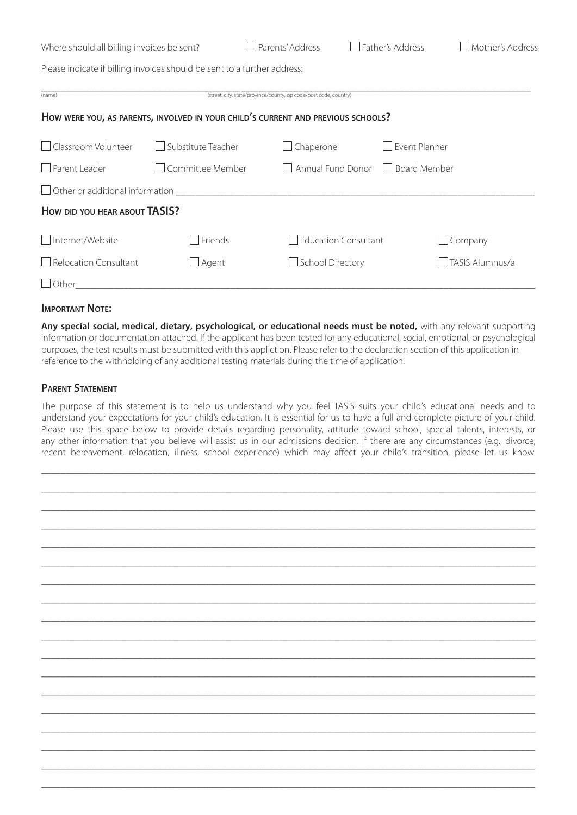| Where should all billing invoices be sent?                                       |                    | Parents' Address                                                   | Father's Address                                         | Mother's Address |  |  |  |  |  |  |
|----------------------------------------------------------------------------------|--------------------|--------------------------------------------------------------------|----------------------------------------------------------|------------------|--|--|--|--|--|--|
| Please indicate if billing invoices should be sent to a further address:         |                    |                                                                    |                                                          |                  |  |  |  |  |  |  |
| (name)                                                                           |                    | (street, city, state/province/county, zip code/post code, country) |                                                          |                  |  |  |  |  |  |  |
| HOW WERE YOU, AS PARENTS, INVOLVED IN YOUR CHILD'S CURRENT AND PREVIOUS SCHOOLS? |                    |                                                                    |                                                          |                  |  |  |  |  |  |  |
| Classroom Volunteer                                                              | Substitute Teacher | $\Box$ Chaperone                                                   | Event Planner                                            |                  |  |  |  |  |  |  |
| $\Box$ Parent Leader<br>□ Committee Member                                       |                    |                                                                    | Annual Fund Donor<br><b>Board Member</b><br>$\mathbf{1}$ |                  |  |  |  |  |  |  |
| $\Box$ Other or additional information                                           |                    |                                                                    |                                                          |                  |  |  |  |  |  |  |
| HOW DID YOU HEAR ABOUT TASIS?                                                    |                    |                                                                    |                                                          |                  |  |  |  |  |  |  |
| □ Internet/Website                                                               | $\Box$ Friends     | <b>Education Consultant</b>                                        |                                                          | $\Box$ Company   |  |  |  |  |  |  |
| $\Box$ Relocation Consultant<br>$\sqcup$ Agent                                   |                    |                                                                    | <b>School Directory</b>                                  |                  |  |  |  |  |  |  |

#### **Important Note:**

**Any special social, medical, dietary, psychological, or educational needs must be noted,** with any relevant supporting information or documentation attached. If the applicant has been tested for any educational, social, emotional, or psychological purposes, the test results must be submitted with this appliction. Please refer to the declaration section of this application in reference to the withholding of any additional testing materials during the time of application.

Other\_\_\_\_\_\_\_\_\_\_\_\_\_\_\_\_\_\_\_\_\_\_\_\_\_\_\_\_\_\_\_\_\_\_\_\_\_\_\_\_\_\_\_\_\_\_\_\_\_\_\_\_\_\_\_\_\_\_\_\_\_\_\_\_\_\_\_\_\_\_\_\_\_\_\_\_\_\_\_\_\_\_\_\_\_\_\_\_\_\_\_\_\_\_\_

## **Parent Statement**

The purpose of this statement is to help us understand why you feel TASIS suits your child's educational needs and to understand your expectations for your child's education. It is essential for us to have a full and complete picture of your child. Please use this space below to provide details regarding personality, attitude toward school, special talents, interests, or any other information that you believe will assist us in our admissions decision. If there are any circumstances (e.g., divorce, recent bereavement, relocation, illness, school experience) which may affect your child's transition, please let us know.

\_\_\_\_\_\_\_\_\_\_\_\_\_\_\_\_\_\_\_\_\_\_\_\_\_\_\_\_\_\_\_\_\_\_\_\_\_\_\_\_\_\_\_\_\_\_\_\_\_\_\_\_\_\_\_\_\_\_\_\_\_\_\_\_\_\_\_\_\_\_\_\_\_\_\_\_\_\_\_\_\_\_\_\_\_\_\_\_\_\_\_\_\_\_\_\_\_\_\_\_\_\_ \_\_\_\_\_\_\_\_\_\_\_\_\_\_\_\_\_\_\_\_\_\_\_\_\_\_\_\_\_\_\_\_\_\_\_\_\_\_\_\_\_\_\_\_\_\_\_\_\_\_\_\_\_\_\_\_\_\_\_\_\_\_\_\_\_\_\_\_\_\_\_\_\_\_\_\_\_\_\_\_\_\_\_\_\_\_\_\_\_\_\_\_\_\_\_\_\_\_\_\_\_\_ \_\_\_\_\_\_\_\_\_\_\_\_\_\_\_\_\_\_\_\_\_\_\_\_\_\_\_\_\_\_\_\_\_\_\_\_\_\_\_\_\_\_\_\_\_\_\_\_\_\_\_\_\_\_\_\_\_\_\_\_\_\_\_\_\_\_\_\_\_\_\_\_\_\_\_\_\_\_\_\_\_\_\_\_\_\_\_\_\_\_\_\_\_\_\_\_\_\_\_\_\_\_ \_\_\_\_\_\_\_\_\_\_\_\_\_\_\_\_\_\_\_\_\_\_\_\_\_\_\_\_\_\_\_\_\_\_\_\_\_\_\_\_\_\_\_\_\_\_\_\_\_\_\_\_\_\_\_\_\_\_\_\_\_\_\_\_\_\_\_\_\_\_\_\_\_\_\_\_\_\_\_\_\_\_\_\_\_\_\_\_\_\_\_\_\_\_\_\_\_\_\_\_\_\_ \_\_\_\_\_\_\_\_\_\_\_\_\_\_\_\_\_\_\_\_\_\_\_\_\_\_\_\_\_\_\_\_\_\_\_\_\_\_\_\_\_\_\_\_\_\_\_\_\_\_\_\_\_\_\_\_\_\_\_\_\_\_\_\_\_\_\_\_\_\_\_\_\_\_\_\_\_\_\_\_\_\_\_\_\_\_\_\_\_\_\_\_\_\_\_\_\_\_\_\_\_\_ \_\_\_\_\_\_\_\_\_\_\_\_\_\_\_\_\_\_\_\_\_\_\_\_\_\_\_\_\_\_\_\_\_\_\_\_\_\_\_\_\_\_\_\_\_\_\_\_\_\_\_\_\_\_\_\_\_\_\_\_\_\_\_\_\_\_\_\_\_\_\_\_\_\_\_\_\_\_\_\_\_\_\_\_\_\_\_\_\_\_\_\_\_\_\_\_\_\_\_\_\_\_ \_\_\_\_\_\_\_\_\_\_\_\_\_\_\_\_\_\_\_\_\_\_\_\_\_\_\_\_\_\_\_\_\_\_\_\_\_\_\_\_\_\_\_\_\_\_\_\_\_\_\_\_\_\_\_\_\_\_\_\_\_\_\_\_\_\_\_\_\_\_\_\_\_\_\_\_\_\_\_\_\_\_\_\_\_\_\_\_\_\_\_\_\_\_\_\_\_\_\_\_\_\_ \_\_\_\_\_\_\_\_\_\_\_\_\_\_\_\_\_\_\_\_\_\_\_\_\_\_\_\_\_\_\_\_\_\_\_\_\_\_\_\_\_\_\_\_\_\_\_\_\_\_\_\_\_\_\_\_\_\_\_\_\_\_\_\_\_\_\_\_\_\_\_\_\_\_\_\_\_\_\_\_\_\_\_\_\_\_\_\_\_\_\_\_\_\_\_\_\_\_\_\_\_\_ \_\_\_\_\_\_\_\_\_\_\_\_\_\_\_\_\_\_\_\_\_\_\_\_\_\_\_\_\_\_\_\_\_\_\_\_\_\_\_\_\_\_\_\_\_\_\_\_\_\_\_\_\_\_\_\_\_\_\_\_\_\_\_\_\_\_\_\_\_\_\_\_\_\_\_\_\_\_\_\_\_\_\_\_\_\_\_\_\_\_\_\_\_\_\_\_\_\_\_\_\_\_ \_\_\_\_\_\_\_\_\_\_\_\_\_\_\_\_\_\_\_\_\_\_\_\_\_\_\_\_\_\_\_\_\_\_\_\_\_\_\_\_\_\_\_\_\_\_\_\_\_\_\_\_\_\_\_\_\_\_\_\_\_\_\_\_\_\_\_\_\_\_\_\_\_\_\_\_\_\_\_\_\_\_\_\_\_\_\_\_\_\_\_\_\_\_\_\_\_\_\_\_\_\_ \_\_\_\_\_\_\_\_\_\_\_\_\_\_\_\_\_\_\_\_\_\_\_\_\_\_\_\_\_\_\_\_\_\_\_\_\_\_\_\_\_\_\_\_\_\_\_\_\_\_\_\_\_\_\_\_\_\_\_\_\_\_\_\_\_\_\_\_\_\_\_\_\_\_\_\_\_\_\_\_\_\_\_\_\_\_\_\_\_\_\_\_\_\_\_\_\_\_\_\_\_\_ \_\_\_\_\_\_\_\_\_\_\_\_\_\_\_\_\_\_\_\_\_\_\_\_\_\_\_\_\_\_\_\_\_\_\_\_\_\_\_\_\_\_\_\_\_\_\_\_\_\_\_\_\_\_\_\_\_\_\_\_\_\_\_\_\_\_\_\_\_\_\_\_\_\_\_\_\_\_\_\_\_\_\_\_\_\_\_\_\_\_\_\_\_\_\_\_\_\_\_\_\_\_ \_\_\_\_\_\_\_\_\_\_\_\_\_\_\_\_\_\_\_\_\_\_\_\_\_\_\_\_\_\_\_\_\_\_\_\_\_\_\_\_\_\_\_\_\_\_\_\_\_\_\_\_\_\_\_\_\_\_\_\_\_\_\_\_\_\_\_\_\_\_\_\_\_\_\_\_\_\_\_\_\_\_\_\_\_\_\_\_\_\_\_\_\_\_\_\_\_\_\_\_\_\_ \_\_\_\_\_\_\_\_\_\_\_\_\_\_\_\_\_\_\_\_\_\_\_\_\_\_\_\_\_\_\_\_\_\_\_\_\_\_\_\_\_\_\_\_\_\_\_\_\_\_\_\_\_\_\_\_\_\_\_\_\_\_\_\_\_\_\_\_\_\_\_\_\_\_\_\_\_\_\_\_\_\_\_\_\_\_\_\_\_\_\_\_\_\_\_\_\_\_\_\_\_\_ \_\_\_\_\_\_\_\_\_\_\_\_\_\_\_\_\_\_\_\_\_\_\_\_\_\_\_\_\_\_\_\_\_\_\_\_\_\_\_\_\_\_\_\_\_\_\_\_\_\_\_\_\_\_\_\_\_\_\_\_\_\_\_\_\_\_\_\_\_\_\_\_\_\_\_\_\_\_\_\_\_\_\_\_\_\_\_\_\_\_\_\_\_\_\_\_\_\_\_\_\_\_ \_\_\_\_\_\_\_\_\_\_\_\_\_\_\_\_\_\_\_\_\_\_\_\_\_\_\_\_\_\_\_\_\_\_\_\_\_\_\_\_\_\_\_\_\_\_\_\_\_\_\_\_\_\_\_\_\_\_\_\_\_\_\_\_\_\_\_\_\_\_\_\_\_\_\_\_\_\_\_\_\_\_\_\_\_\_\_\_\_\_\_\_\_\_\_\_\_\_\_\_\_\_ \_\_\_\_\_\_\_\_\_\_\_\_\_\_\_\_\_\_\_\_\_\_\_\_\_\_\_\_\_\_\_\_\_\_\_\_\_\_\_\_\_\_\_\_\_\_\_\_\_\_\_\_\_\_\_\_\_\_\_\_\_\_\_\_\_\_\_\_\_\_\_\_\_\_\_\_\_\_\_\_\_\_\_\_\_\_\_\_\_\_\_\_\_\_\_\_\_\_\_\_\_\_ \_\_\_\_\_\_\_\_\_\_\_\_\_\_\_\_\_\_\_\_\_\_\_\_\_\_\_\_\_\_\_\_\_\_\_\_\_\_\_\_\_\_\_\_\_\_\_\_\_\_\_\_\_\_\_\_\_\_\_\_\_\_\_\_\_\_\_\_\_\_\_\_\_\_\_\_\_\_\_\_\_\_\_\_\_\_\_\_\_\_\_\_\_\_\_\_\_\_\_\_\_\_